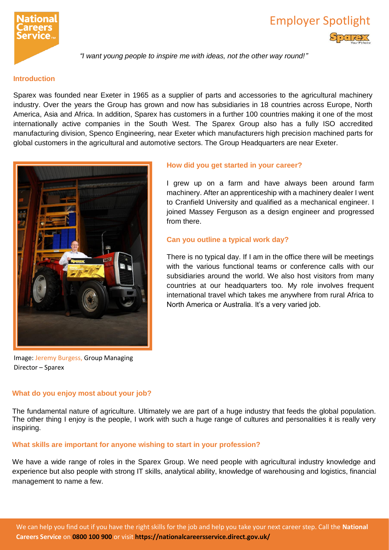

# Employer Spotlight

*"I want young people to inspire me with ideas, not the other way round!"*

#### **Introduction**

Sparex was founded near Exeter in 1965 as a supplier of parts and accessories to the agricultural machinery industry. Over the years the Group has grown and now has subsidiaries in 18 countries across Europe, North America, Asia and Africa. In addition, Sparex has customers in a further 100 countries making it one of the most internationally active companies in the South West. The Sparex Group also has a fully ISO accredited manufacturing division, Spenco Engineering, near Exeter which manufacturers high precision machined parts for global customers in the agricultural and automotive sectors. The Group Headquarters are near Exeter.



Image: Jeremy Burgess, Group Managing Director – Sparex

# **What do you enjoy most about your job?**

# **How did you get started in your career?**

I grew up on a farm and have always been around farm machinery. After an apprenticeship with a machinery dealer I went to Cranfield University and qualified as a mechanical engineer. I joined Massey Ferguson as a design engineer and progressed from there.

# **Can you outline a typical work day?**

There is no typical day. If I am in the office there will be meetings with the various functional teams or conference calls with our subsidiaries around the world. We also host visitors from many countries at our headquarters too. My role involves frequent international travel which takes me anywhere from rural Africa to North America or Australia. It's a very varied job.

The fundamental nature of agriculture. Ultimately we are part of a huge industry that feeds the global population. The other thing I enjoy is the people, I work with such a huge range of cultures and personalities it is really very inspiring.

# **What skills are important for anyone wishing to start in your profession?**

We have a wide range of roles in the Sparex Group. We need people with agricultural industry knowledge and experience but also people with strong IT skills, analytical ability, knowledge of warehousing and logistics, financial management to name a few.